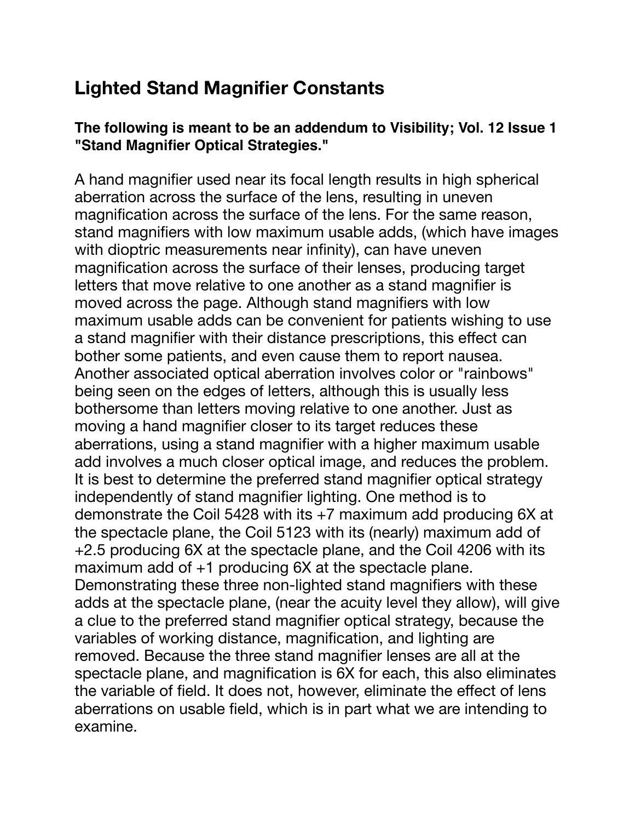## **Lighted Stand Magnifier Constants**

## **The following is meant to be an addendum to Visibility; Vol. 12 Issue 1 "Stand Magnifier Optical Strategies."**

A hand magnifier used near its focal length results in high spherical aberration across the surface of the lens, resulting in uneven magnification across the surface of the lens. For the same reason, stand magnifiers with low maximum usable adds, (which have images with dioptric measurements near infinity), can have uneven magnification across the surface of their lenses, producing target letters that move relative to one another as a stand magnifier is moved across the page. Although stand magnifiers with low maximum usable adds can be convenient for patients wishing to use a stand magnifier with their distance prescriptions, this effect can bother some patients, and even cause them to report nausea. Another associated optical aberration involves color or "rainbows" being seen on the edges of letters, although this is usually less bothersome than letters moving relative to one another. Just as moving a hand magnifier closer to its target reduces these aberrations, using a stand magnifier with a higher maximum usable add involves a much closer optical image, and reduces the problem. It is best to determine the preferred stand magnifier optical strategy independently of stand magnifier lighting. One method is to demonstrate the Coil 5428 with its +7 maximum add producing 6X at the spectacle plane, the Coil 5123 with its (nearly) maximum add of +2.5 producing 6X at the spectacle plane, and the Coil 4206 with its maximum add of +1 producing 6X at the spectacle plane. Demonstrating these three non-lighted stand magnifiers with these adds at the spectacle plane, (near the acuity level they allow), will give a clue to the preferred stand magnifier optical strategy, because the variables of working distance, magnification, and lighting are removed. Because the three stand magnifier lenses are all at the spectacle plane, and magnification is 6X for each, this also eliminates the variable of field. It does not, however, eliminate the effect of lens aberrations on usable field, which is in part what we are intending to examine.